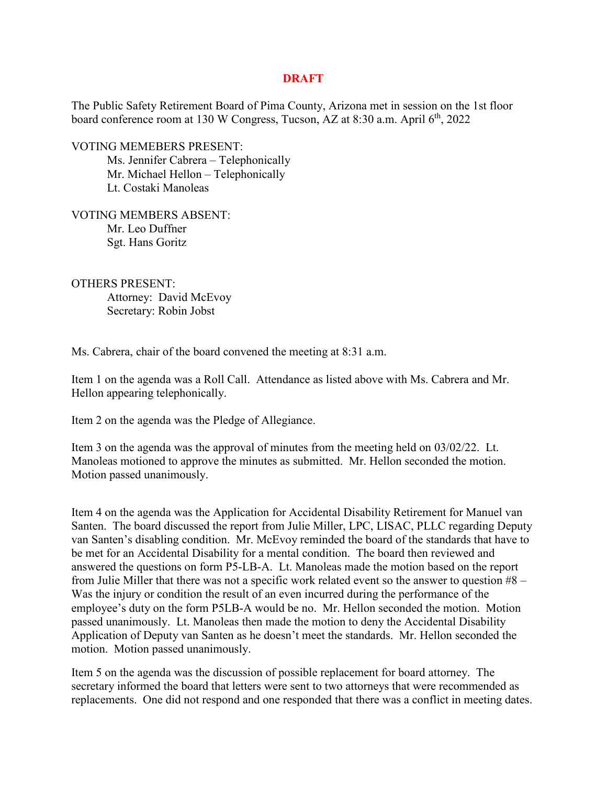## **DRAFT**

The Public Safety Retirement Board of Pima County, Arizona met in session on the 1st floor board conference room at 130 W Congress, Tucson, AZ at 8:30 a.m. April  $6<sup>th</sup>$ , 2022

VOTING MEMEBERS PRESENT:

Ms. Jennifer Cabrera – Telephonically Mr. Michael Hellon – Telephonically Lt. Costaki Manoleas

VOTING MEMBERS ABSENT: Mr. Leo Duffner Sgt. Hans Goritz

OTHERS PRESENT: Attorney: David McEvoy Secretary: Robin Jobst

Ms. Cabrera, chair of the board convened the meeting at 8:31 a.m.

Item 1 on the agenda was a Roll Call. Attendance as listed above with Ms. Cabrera and Mr. Hellon appearing telephonically.

Item 2 on the agenda was the Pledge of Allegiance.

Item 3 on the agenda was the approval of minutes from the meeting held on 03/02/22. Lt. Manoleas motioned to approve the minutes as submitted. Mr. Hellon seconded the motion. Motion passed unanimously.

Item 4 on the agenda was the Application for Accidental Disability Retirement for Manuel van Santen. The board discussed the report from Julie Miller, LPC, LISAC, PLLC regarding Deputy van Santen's disabling condition. Mr. McEvoy reminded the board of the standards that have to be met for an Accidental Disability for a mental condition. The board then reviewed and answered the questions on form P5-LB-A. Lt. Manoleas made the motion based on the report from Julie Miller that there was not a specific work related event so the answer to question #8 – Was the injury or condition the result of an even incurred during the performance of the employee's duty on the form P5LB-A would be no. Mr. Hellon seconded the motion. Motion passed unanimously. Lt. Manoleas then made the motion to deny the Accidental Disability Application of Deputy van Santen as he doesn't meet the standards. Mr. Hellon seconded the motion. Motion passed unanimously.

Item 5 on the agenda was the discussion of possible replacement for board attorney. The secretary informed the board that letters were sent to two attorneys that were recommended as replacements. One did not respond and one responded that there was a conflict in meeting dates.